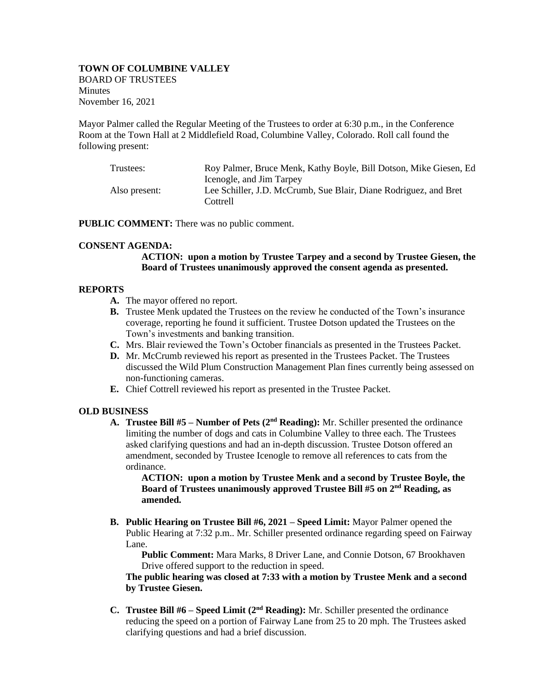### **TOWN OF COLUMBINE VALLEY**  BOARD OF TRUSTEES **Minutes** November 16, 2021

Mayor Palmer called the Regular Meeting of the Trustees to order at 6:30 p.m., in the Conference Room at the Town Hall at 2 Middlefield Road, Columbine Valley, Colorado. Roll call found the following present:

| Trustees:     | Roy Palmer, Bruce Menk, Kathy Boyle, Bill Dotson, Mike Giesen, Ed |
|---------------|-------------------------------------------------------------------|
|               | Icenogle, and Jim Tarpey                                          |
| Also present: | Lee Schiller, J.D. McCrumb, Sue Blair, Diane Rodriguez, and Bret  |
|               | Cottrell                                                          |

**PUBLIC COMMENT:** There was no public comment.

### **CONSENT AGENDA:**

# **ACTION: upon a motion by Trustee Tarpey and a second by Trustee Giesen, the Board of Trustees unanimously approved the consent agenda as presented.**

### **REPORTS**

- **A.** The mayor offered no report.
- **B.** Trustee Menk updated the Trustees on the review he conducted of the Town's insurance coverage, reporting he found it sufficient. Trustee Dotson updated the Trustees on the Town's investments and banking transition.
- **C.** Mrs. Blair reviewed the Town's October financials as presented in the Trustees Packet.
- **D.** Mr. McCrumb reviewed his report as presented in the Trustees Packet. The Trustees discussed the Wild Plum Construction Management Plan fines currently being assessed on non-functioning cameras.
- **E.** Chief Cottrell reviewed his report as presented in the Trustee Packet.

# **OLD BUSINESS**

**A. Trustee Bill #5** – **Number of Pets** (2<sup>nd</sup> **Reading):** Mr. Schiller presented the ordinance limiting the number of dogs and cats in Columbine Valley to three each. The Trustees asked clarifying questions and had an in-depth discussion. Trustee Dotson offered an amendment, seconded by Trustee Icenogle to remove all references to cats from the ordinance.

**ACTION: upon a motion by Trustee Menk and a second by Trustee Boyle, the Board of Trustees unanimously approved Trustee Bill #5 on 2nd Reading, as amended.**

**B. Public Hearing on Trustee Bill #6, 2021 – Speed Limit:** Mayor Palmer opened the Public Hearing at 7:32 p.m.. Mr. Schiller presented ordinance regarding speed on Fairway Lane.

**Public Comment:** Mara Marks, 8 Driver Lane, and Connie Dotson, 67 Brookhaven Drive offered support to the reduction in speed.

**The public hearing was closed at 7:33 with a motion by Trustee Menk and a second by Trustee Giesen.**

**C. Trustee Bill #6** – **Speed Limit** (2<sup>nd</sup> **Reading):** Mr. Schiller presented the ordinance reducing the speed on a portion of Fairway Lane from 25 to 20 mph. The Trustees asked clarifying questions and had a brief discussion.